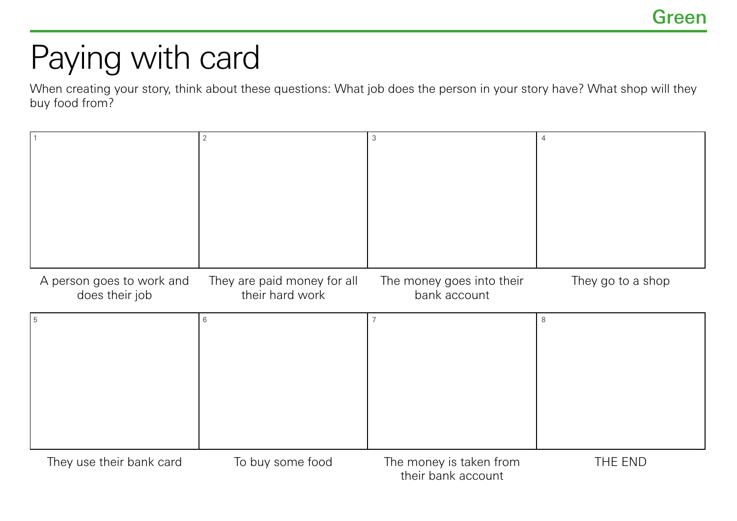## Paying with card

When creating your story, think about these questions: What job does the person in your story have? What shop will they buy food from?

|                           | $\overline{2}$              | 3                         | $\overline{4}$    |
|---------------------------|-----------------------------|---------------------------|-------------------|
|                           |                             |                           |                   |
|                           |                             |                           |                   |
|                           |                             |                           |                   |
|                           |                             |                           |                   |
|                           |                             |                           |                   |
|                           |                             |                           |                   |
|                           |                             |                           |                   |
|                           |                             |                           |                   |
|                           |                             |                           |                   |
|                           |                             |                           |                   |
| A person goes to work and | They are paid money for all | The money goes into their | They go to a shop |
| does their job            | their hard work             | bank account              |                   |
|                           |                             |                           |                   |
| 5                         | $\,6\,$                     | $\overline{7}$            | 8                 |
|                           |                             |                           |                   |
|                           |                             |                           |                   |
|                           |                             |                           |                   |
|                           |                             |                           |                   |
|                           |                             |                           |                   |
|                           |                             |                           |                   |
|                           |                             |                           |                   |
|                           |                             |                           |                   |
|                           |                             |                           |                   |
|                           |                             |                           |                   |
|                           |                             |                           |                   |
| They use their bank card  | To buy some food            | The money is taken from   | THE END           |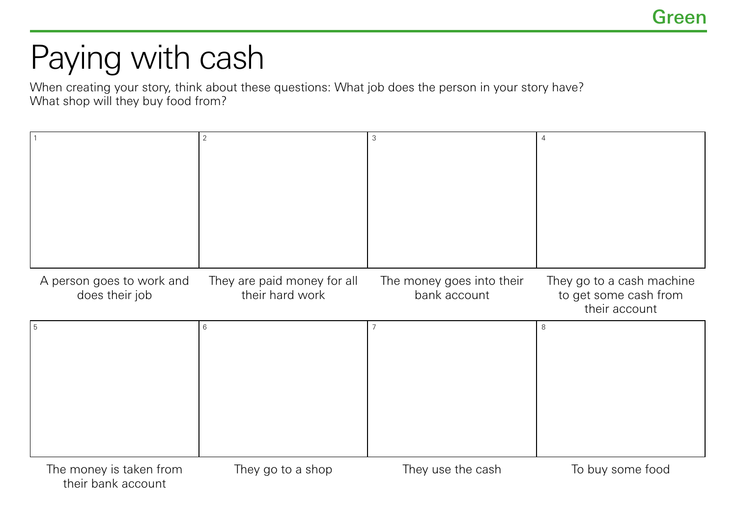## Paying with cash

When creating your story, think about these questions: What job does the person in your story have? What shop will they buy food from?

|                                             | 2                                              | 3                                         | 4                                                                   |
|---------------------------------------------|------------------------------------------------|-------------------------------------------|---------------------------------------------------------------------|
| A person goes to work and<br>does their job | They are paid money for all<br>their hard work | The money goes into their<br>bank account | They go to a cash machine<br>to get some cash from<br>their account |
| 5                                           | 6                                              |                                           | 8                                                                   |
| The money is taken from                     | They go to a shop                              | They use the cash                         | To buy some food                                                    |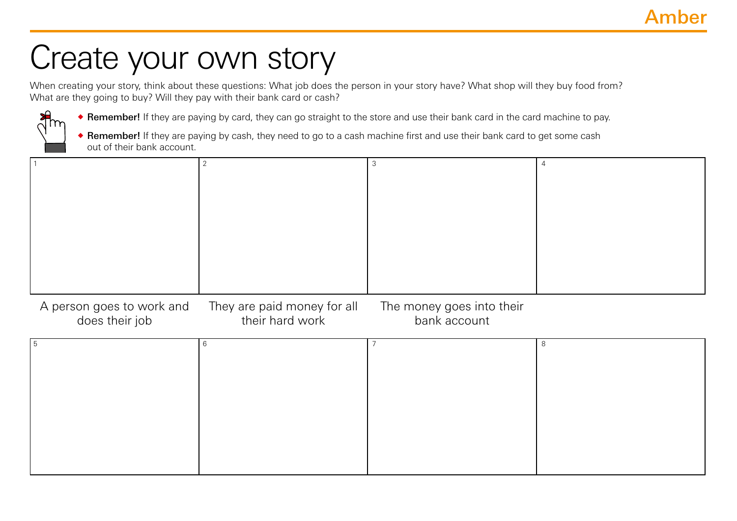## Create your own story

When creating your story, think about these questions: What job does the person in your story have? What shop will they buy food from? What are they going to buy? Will they pay with their bank card or cash?



**• Remember!** If they are paying by card, they can go straight to the store and use their bank card in the card machine to pay.

◆ Remember! If they are paying by cash, they need to go to a cash machine first and use their bank card to get some cash out of their bank account.

A person goes to work and does their job They are paid money for all their hard work The money goes into their bank account

| . b |  |  |
|-----|--|--|
|     |  |  |
|     |  |  |
|     |  |  |
|     |  |  |
|     |  |  |
|     |  |  |
|     |  |  |
|     |  |  |
|     |  |  |